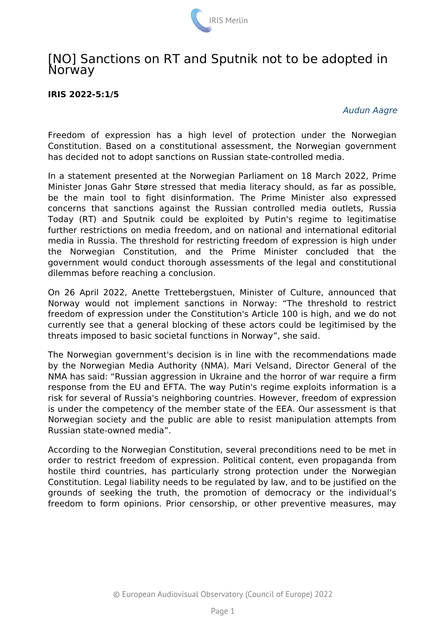

## [NO] Sanctions on RT and Sputnik not to be adopted in **Norway**

## **IRIS 2022-5:1/5**

*Audun Aagre*

Freedom of expression has a high level of protection under the Norwegian Constitution. Based on a constitutional assessment, the Norwegian government has decided not to adopt sanctions on Russian state-controlled media.

In a statement presented at the Norwegian Parliament on 18 March 2022, Prime Minister Jonas Gahr Støre stressed that media literacy should, as far as possible, be the main tool to fight disinformation. The Prime Minister also expressed concerns that sanctions against the Russian controlled media outlets, Russia Today (RT) and Sputnik could be exploited by Putin's regime to legitimatise further restrictions on media freedom, and on national and international editorial media in Russia. The threshold for restricting freedom of expression is high under the Norwegian Constitution, and the Prime Minister concluded that the government would conduct thorough assessments of the legal and constitutional dilemmas before reaching a conclusion.

On 26 April 2022, Anette Trettebergstuen, Minister of Culture, announced that Norway would not implement sanctions in Norway: "The threshold to restrict freedom of expression under the Constitution's Article 100 is high, and we do not currently see that a general blocking of these actors could be legitimised by the threats imposed to basic societal functions in Norway", she said.

The Norwegian government's decision is in line with the recommendations made by the Norwegian Media Authority (NMA). Mari Velsand, Director General of the NMA has said: "Russian aggression in Ukraine and the horror of war require a firm response from the EU and EFTA. The way Putin's regime exploits information is a risk for several of Russia's neighboring countries. However, freedom of expression is under the competency of the member state of the EEA. Our assessment is that Norwegian society and the public are able to resist manipulation attempts from Russian state-owned media".

According to the Norwegian Constitution, several preconditions need to be met in order to restrict freedom of expression. Political content, even propaganda from hostile third countries, has particularly strong protection under the Norwegian Constitution. Legal liability needs to be regulated by law, and to be justified on the grounds of seeking the truth, the promotion of democracy or the individual's freedom to form opinions. Prior censorship, or other preventive measures, may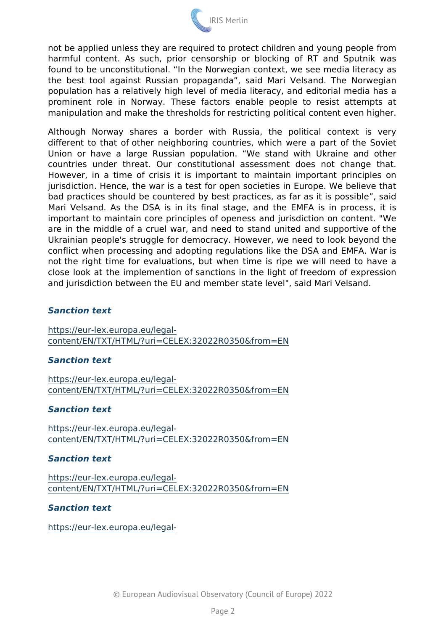not be applied unless they are required to protect children and yo harmful content. As such, prior censorship or blocking of RT found to be unconstitutional. In the Norwegian context, we see r the best tool against Russian propaganda, said Mari Velsan population has a relatively high level of media literacy, and edit prominent role in Norway. These factors enable people to manipulation and make the thresholds for restricting political cont

Although Norway shares a border with Russia, the politic different to that of other neighboring countries, which were a Union or have a large Russian population. We stand with countries under threat. Our constitutional assessment does However, in a time of crisis it is important to maintain import jurisdiction. Hence, the war is a test for open societies in Europ bad practices should be countered by best practices, as far as it Mari Velsand. As the DSA is in its final stage, and the EMFA important to maintain core principles of openess and jurisdiction are in the middle of a cruel war, and need to stand united and Ukrainian people's struggle for democracy. However, we need to conflict when processing and adopting regulations like the DSA and EMFA. not the right time for evaluations, but when time is ripe we wi close look at the implemention of sanctions in the light of freed and jurisdiction between the EU and member state level", said Mart

## Sanction text

[https://eur-lex.europa](https://eur-lex.europa.eu/legal-content/EN/TXT/HTML/?uri=CELEX:32022R0350&from=EN).eu/legal [content/EN/TXT/HTML/?uri=CELEX:32022R](https://eur-lex.europa.eu/legal-content/EN/TXT/HTML/?uri=CELEX:32022R0350&from=EN)0350&from=EN

Sanction text

[https://eur-lex.europa](https://eur-lex.europa.eu/legal-content/EN/TXT/HTML/?uri=CELEX:32022R0350&from=EN).eu/legal [content/EN/TXT/HTML/?uri=CELEX:32022R](https://eur-lex.europa.eu/legal-content/EN/TXT/HTML/?uri=CELEX:32022R0350&from=EN)0350&from=EN

Sanction text

[https://eur-lex.europa](https://eur-lex.europa.eu/legal-content/EN/TXT/HTML/?uri=CELEX:32022R0350&from=EN).eu/legal [content/EN/TXT/HTML/?uri=CELEX:32022R](https://eur-lex.europa.eu/legal-content/EN/TXT/HTML/?uri=CELEX:32022R0350&from=EN)0350&from=EN

Sanction text

[https://eur-lex.europa](https://eur-lex.europa.eu/legal-content/EN/TXT/HTML/?uri=CELEX:32022R0350&from=EN).eu/legal [content/EN/TXT/HTML/?uri=CELEX:32022R](https://eur-lex.europa.eu/legal-content/EN/TXT/HTML/?uri=CELEX:32022R0350&from=EN)0350&from=EN

Sanction text

[https://eur-lex.europa](https://eur-lex.europa.eu/legal-content/EN/TXT/HTML/?uri=CELEX:32022R0350&from=EN).eu/legal-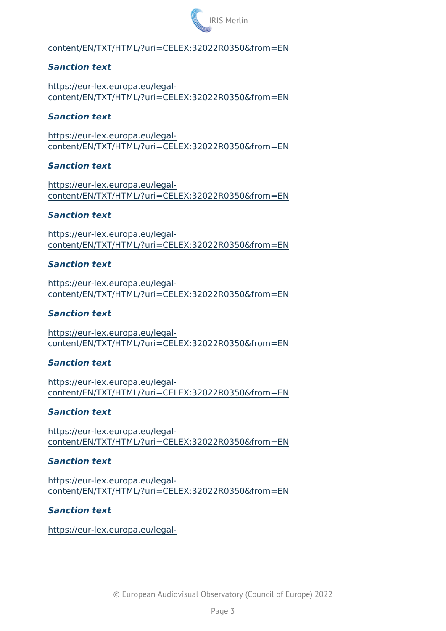[content/EN/TXT/HTML/?uri=CELEX:32022R](https://eur-lex.europa.eu/legal-content/EN/TXT/HTML/?uri=CELEX:32022R0350&from=EN)0350&from=EN

Sanction text

[https://eur-lex.europa](https://eur-lex.europa.eu/legal-content/EN/TXT/HTML/?uri=CELEX:32022R0350&from=EN).eu/legal [content/EN/TXT/HTML/?uri=CELEX:32022R](https://eur-lex.europa.eu/legal-content/EN/TXT/HTML/?uri=CELEX:32022R0350&from=EN)0350&from=EN

Sanction text

[https://eur-lex.europa](https://eur-lex.europa.eu/legal-content/EN/TXT/HTML/?uri=CELEX:32022R0350&from=EN).eu/legal [content/EN/TXT/HTML/?uri=CELEX:32022R](https://eur-lex.europa.eu/legal-content/EN/TXT/HTML/?uri=CELEX:32022R0350&from=EN)0350&from=EN

Sanction text

[https://eur-lex.europa](https://eur-lex.europa.eu/legal-content/EN/TXT/HTML/?uri=CELEX:32022R0350&from=EN).eu/legal [content/EN/TXT/HTML/?uri=CELEX:32022R](https://eur-lex.europa.eu/legal-content/EN/TXT/HTML/?uri=CELEX:32022R0350&from=EN)0350&from=EN

Sanction text

[https://eur-lex.europa](https://eur-lex.europa.eu/legal-content/EN/TXT/HTML/?uri=CELEX:32022R0350&from=EN).eu/legal [content/EN/TXT/HTML/?uri=CELEX:32022R](https://eur-lex.europa.eu/legal-content/EN/TXT/HTML/?uri=CELEX:32022R0350&from=EN)0350&from=EN

Sanction text

[https://eur-lex.europa](https://eur-lex.europa.eu/legal-content/EN/TXT/HTML/?uri=CELEX:32022R0350&from=EN).eu/legal [content/EN/TXT/HTML/?uri=CELEX:32022R](https://eur-lex.europa.eu/legal-content/EN/TXT/HTML/?uri=CELEX:32022R0350&from=EN)0350&from=EN

Sanction text

[https://eur-lex.europa](https://eur-lex.europa.eu/legal-content/EN/TXT/HTML/?uri=CELEX:32022R0350&from=EN).eu/legal [content/EN/TXT/HTML/?uri=CELEX:32022R](https://eur-lex.europa.eu/legal-content/EN/TXT/HTML/?uri=CELEX:32022R0350&from=EN)0350&from=EN

Sanction text

[https://eur-lex.europa](https://eur-lex.europa.eu/legal-content/EN/TXT/HTML/?uri=CELEX:32022R0350&from=EN).eu/legal [content/EN/TXT/HTML/?uri=CELEX:32022R](https://eur-lex.europa.eu/legal-content/EN/TXT/HTML/?uri=CELEX:32022R0350&from=EN)0350&from=EN

Sanction text

[https://eur-lex.europa](https://eur-lex.europa.eu/legal-content/EN/TXT/HTML/?uri=CELEX:32022R0350&from=EN).eu/legal [content/EN/TXT/HTML/?uri=CELEX:32022R](https://eur-lex.europa.eu/legal-content/EN/TXT/HTML/?uri=CELEX:32022R0350&from=EN)0350&from=EN

Sanction text

[https://eur-lex.europa](https://eur-lex.europa.eu/legal-content/EN/TXT/HTML/?uri=CELEX:32022R0350&from=EN).eu/legal [content/EN/TXT/HTML/?uri=CELEX:32022R](https://eur-lex.europa.eu/legal-content/EN/TXT/HTML/?uri=CELEX:32022R0350&from=EN)0350&from=EN

Sanction text

[https://eur-lex.europa](https://eur-lex.europa.eu/legal-content/EN/TXT/HTML/?uri=CELEX:32022R0350&from=EN).eu/legal-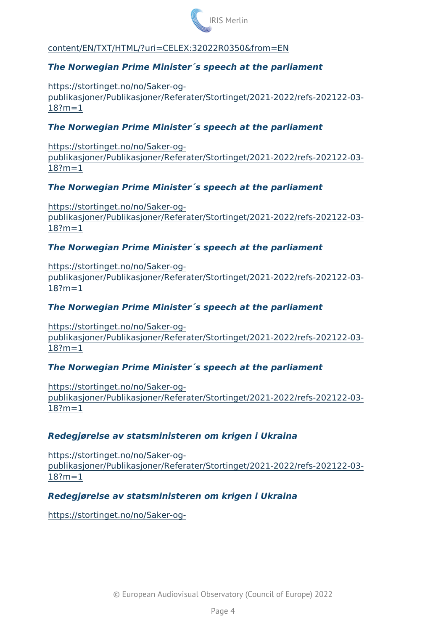[content/EN/TXT/HTML/?uri=CELEX:32022R](https://eur-lex.europa.eu/legal-content/EN/TXT/HTML/?uri=CELEX:32022R0350&from=EN)0350&from=EN

The Norwegian Prime Minister´s speech at the parliament

[https://stortinget.no/no](https://stortinget.no/no/Saker-og-publikasjoner/Publikasjoner/Referater/Stortinget/2021-2022/refs-202122-03-18?m=1)/Saker-og [publikasjoner/Publikasjoner/Referater/Stortinget/2021](https://stortinget.no/no/Saker-og-publikasjoner/Publikasjoner/Referater/Stortinget/2021-2022/refs-202122-03-18?m=1)-2022/refs-20  $18? m = 1$ 

The Norwegian Prime Minister´s speech at the parliament

[https://stortinget.no/no](https://stortinget.no/no/Saker-og-publikasjoner/Publikasjoner/Referater/Stortinget/2021-2022/refs-202122-03-18?m=1)/Saker-og [publikasjoner/Publikasjoner/Referater/Stortinget/2021](https://stortinget.no/no/Saker-og-publikasjoner/Publikasjoner/Referater/Stortinget/2021-2022/refs-202122-03-18?m=1)-2022/refs-20  $18? m = 1$ 

The Norwegian Prime Minister´s speech at the parliament

[https://stortinget.no/no](https://stortinget.no/no/Saker-og-publikasjoner/Publikasjoner/Referater/Stortinget/2021-2022/refs-202122-03-18?m=1)/Saker-og [publikasjoner/Publikasjoner/Referater/Stortinget/2021](https://stortinget.no/no/Saker-og-publikasjoner/Publikasjoner/Referater/Stortinget/2021-2022/refs-202122-03-18?m=1)-2022/refs-20  $18? m = 1$ 

The Norwegian Prime Minister´s speech at the parliament

[https://stortinget.no/no](https://stortinget.no/no/Saker-og-publikasjoner/Publikasjoner/Referater/Stortinget/2021-2022/refs-202122-03-18?m=1)/Saker-og [publikasjoner/Publikasjoner/Referater/Stortinget/2021](https://stortinget.no/no/Saker-og-publikasjoner/Publikasjoner/Referater/Stortinget/2021-2022/refs-202122-03-18?m=1)-2022/refs-20  $18? m = 1$ 

The Norwegian Prime Minister´s speech at the parliament

[https://stortinget.no/no](https://stortinget.no/no/Saker-og-publikasjoner/Publikasjoner/Referater/Stortinget/2021-2022/refs-202122-03-18?m=1)/Saker-og [publikasjoner/Publikasjoner/Referater/Stortinget/2021](https://stortinget.no/no/Saker-og-publikasjoner/Publikasjoner/Referater/Stortinget/2021-2022/refs-202122-03-18?m=1)-2022/refs-20  $18? m = 1$ 

The Norwegian Prime Minister´s speech at the parliament

[https://stortinget.no/no](https://stortinget.no/no/Saker-og-publikasjoner/Publikasjoner/Referater/Stortinget/2021-2022/refs-202122-03-18?m=1)/Saker-og [publikasjoner/Publikasjoner/Referater/Stortinget/2021](https://stortinget.no/no/Saker-og-publikasjoner/Publikasjoner/Referater/Stortinget/2021-2022/refs-202122-03-18?m=1)-2022/refs-20  $18? m = 1$ 

Redegjørelse av statsministeren om krigen i Ukraina

[https://stortinget.no/no](https://stortinget.no/no/Saker-og-publikasjoner/Publikasjoner/Referater/Stortinget/2021-2022/refs-202122-03-18?m=1)/Saker-og [publikasjoner/Publikasjoner/Referater/Stortinget/2021](https://stortinget.no/no/Saker-og-publikasjoner/Publikasjoner/Referater/Stortinget/2021-2022/refs-202122-03-18?m=1)-2022/refs-20  $18? m = 1$ 

Redegjørelse av statsministeren om krigen i Ukraina

[https://stortinget.no/no](https://stortinget.no/no/Saker-og-publikasjoner/Publikasjoner/Referater/Stortinget/2021-2022/refs-202122-03-18?m=1)/Saker-og-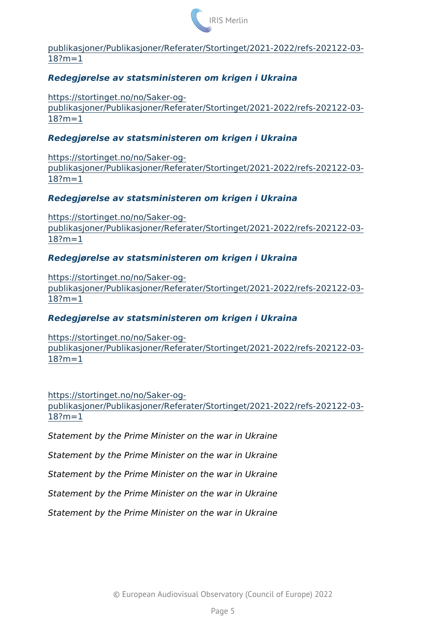## IRIS Merlin

[publikasjoner/Publikasjoner/Referater/Stortinget/2021](https://stortinget.no/no/Saker-og-publikasjoner/Publikasjoner/Referater/Stortinget/2021-2022/refs-202122-03-18?m=1)-2022/refs-20  $18? m = 1$ 

Redegjørelse av statsministeren om krigen i Ukraina

[https://stortinget.no/no](https://stortinget.no/no/Saker-og-publikasjoner/Publikasjoner/Referater/Stortinget/2021-2022/refs-202122-03-18?m=1)/Saker-og [publikasjoner/Publikasjoner/Referater/Stortinget/2021](https://stortinget.no/no/Saker-og-publikasjoner/Publikasjoner/Referater/Stortinget/2021-2022/refs-202122-03-18?m=1)-2022/refs-20  $18? m = 1$ 

Redegjørelse av statsministeren om krigen i Ukraina

[https://stortinget.no/no](https://stortinget.no/no/Saker-og-publikasjoner/Publikasjoner/Referater/Stortinget/2021-2022/refs-202122-03-18?m=1)/Saker-og [publikasjoner/Publikasjoner/Referater/Stortinget/2021](https://stortinget.no/no/Saker-og-publikasjoner/Publikasjoner/Referater/Stortinget/2021-2022/refs-202122-03-18?m=1)-2022/refs-20  $18? m = 1$ 

Redegjørelse av statsministeren om krigen i Ukraina

[https://stortinget.no/no](https://stortinget.no/no/Saker-og-publikasjoner/Publikasjoner/Referater/Stortinget/2021-2022/refs-202122-03-18?m=1)/Saker-og [publikasjoner/Publikasjoner/Referater/Stortinget/2021](https://stortinget.no/no/Saker-og-publikasjoner/Publikasjoner/Referater/Stortinget/2021-2022/refs-202122-03-18?m=1)-2022/refs-20  $18? m = 1$ 

Redegjørelse av statsministeren om krigen i Ukraina

[https://stortinget.no/no](https://stortinget.no/no/Saker-og-publikasjoner/Publikasjoner/Referater/Stortinget/2021-2022/refs-202122-03-18?m=1)/Saker-og [publikasjoner/Publikasjoner/Referater/Stortinget/2021](https://stortinget.no/no/Saker-og-publikasjoner/Publikasjoner/Referater/Stortinget/2021-2022/refs-202122-03-18?m=1)-2022/refs-20  $18? m = 1$ 

Redegjørelse av statsministeren om krigen i Ukraina

[https://stortinget.no/no](https://stortinget.no/no/Saker-og-publikasjoner/Publikasjoner/Referater/Stortinget/2021-2022/refs-202122-03-18?m=1)/Saker-og [publikasjoner/Publikasjoner/Referater/Stortinget/2021](https://stortinget.no/no/Saker-og-publikasjoner/Publikasjoner/Referater/Stortinget/2021-2022/refs-202122-03-18?m=1)-2022/refs-20  $18? m = 1$ 

[https://stortinget.no/no](https://stortinget.no/no/Saker-og-publikasjoner/Publikasjoner/Referater/Stortinget/2021-2022/refs-202122-03-18?m=1)/Saker-og-

[publikasjoner/Publikasjoner/Referater/Stortinget/2021](https://stortinget.no/no/Saker-og-publikasjoner/Publikasjoner/Referater/Stortinget/2021-2022/refs-202122-03-18?m=1)-2022/refs-20  $18? m = 1$ 

Statement by the Prime Minister on the war in Ukraine Statement by the Prime Minister on the war in Ukraine Statement by the Prime Minister on the war in Ukraine Statement by the Prime Minister on the war in Ukraine Statement by the Prime Minister on the war in Ukraine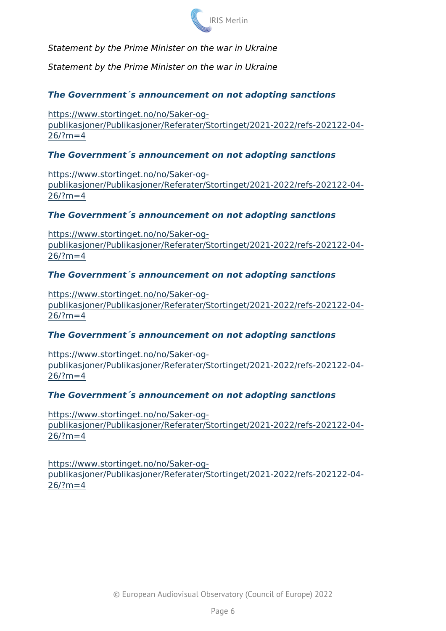Statement by the Prime Minister on the war in Ukraine

Statement by the Prime Minister on the war in Ukraine

The Government´s announcement on not adopting sanctions

[https://www.stortinget.no/n](https://www.stortinget.no/no/Saker-og-publikasjoner/Publikasjoner/Referater/Stortinget/2021-2022/refs-202122-04-26/?m=4)o/Saker-og [publikasjoner/Publikasjoner/Referater/Stortinget/2021](https://www.stortinget.no/no/Saker-og-publikasjoner/Publikasjoner/Referater/Stortinget/2021-2022/refs-202122-04-26/?m=4)-2022/refs-20  $26/?m=4$  $26/?m=4$ 

The Government´s announcement on not adopting sanctions

[https://www.stortinget.no/n](https://www.stortinget.no/no/Saker-og-publikasjoner/Publikasjoner/Referater/Stortinget/2021-2022/refs-202122-04-26/?m=4)o/Saker-og [publikasjoner/Publikasjoner/Referater/Stortinget/2021](https://www.stortinget.no/no/Saker-og-publikasjoner/Publikasjoner/Referater/Stortinget/2021-2022/refs-202122-04-26/?m=4)-2022/refs-20  $26/?m=4$  $26/?m=4$ 

The Government´s announcement on not adopting sanctions

[https://www.stortinget.no/n](https://www.stortinget.no/no/Saker-og-publikasjoner/Publikasjoner/Referater/Stortinget/2021-2022/refs-202122-04-26/?m=4)o/Saker-og [publikasjoner/Publikasjoner/Referater/Stortinget/2021](https://www.stortinget.no/no/Saker-og-publikasjoner/Publikasjoner/Referater/Stortinget/2021-2022/refs-202122-04-26/?m=4)-2022/refs-20  $26/?m=4$  $26/?m=4$ 

The Government´s announcement on not adopting sanctions

[https://www.stortinget.no/n](https://www.stortinget.no/no/Saker-og-publikasjoner/Publikasjoner/Referater/Stortinget/2021-2022/refs-202122-04-26/?m=4)o/Saker-og [publikasjoner/Publikasjoner/Referater/Stortinget/2021](https://www.stortinget.no/no/Saker-og-publikasjoner/Publikasjoner/Referater/Stortinget/2021-2022/refs-202122-04-26/?m=4)-2022/refs-20  $26/? m = 4$ 

The Government´s announcement on not adopting sanctions

[https://www.stortinget.no/n](https://www.stortinget.no/no/Saker-og-publikasjoner/Publikasjoner/Referater/Stortinget/2021-2022/refs-202122-04-26/?m=4)o/Saker-og [publikasjoner/Publikasjoner/Referater/Stortinget/2021](https://www.stortinget.no/no/Saker-og-publikasjoner/Publikasjoner/Referater/Stortinget/2021-2022/refs-202122-04-26/?m=4)-2022/refs-20  $26/?m=4$  $26/?m=4$ 

The Government´s announcement on not adopting sanctions

[https://www.stortinget.no/n](https://www.stortinget.no/no/Saker-og-publikasjoner/Publikasjoner/Referater/Stortinget/2021-2022/refs-202122-04-26/?m=4)o/Saker-og [publikasjoner/Publikasjoner/Referater/Stortinget/2021](https://www.stortinget.no/no/Saker-og-publikasjoner/Publikasjoner/Referater/Stortinget/2021-2022/refs-202122-04-26/?m=4)-2022/refs-20  $26/?m=4$  $26/?m=4$ 

[https://www.stortinget.no/n](https://www.stortinget.no/no/Saker-og-publikasjoner/Publikasjoner/Referater/Stortinget/2021-2022/refs-202122-04-26/?m=4)o/Saker-og [publikasjoner/Publikasjoner/Referater/Stortinget/2021](https://www.stortinget.no/no/Saker-og-publikasjoner/Publikasjoner/Referater/Stortinget/2021-2022/refs-202122-04-26/?m=4)-2022/refs-20  $26/?m=4$  $26/?m=4$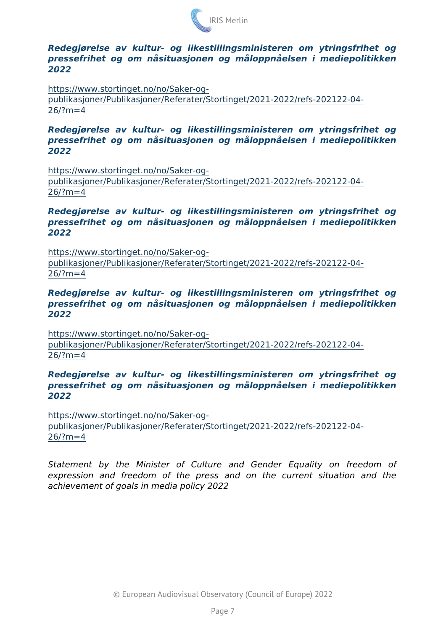Redegjørelse av kultur- og likestillingsministeren om ytrings pressefrihet og om nåsituasjonen og måloppnåelsen i mediepo 2022

[https://www.stortinget.no/n](https://www.stortinget.no/no/Saker-og-publikasjoner/Publikasjoner/Referater/Stortinget/2021-2022/refs-202122-04-26/?m=4)o/Saker-og-

[publikasjoner/Publikasjoner/Referater/Stortinget/2021](https://www.stortinget.no/no/Saker-og-publikasjoner/Publikasjoner/Referater/Stortinget/2021-2022/refs-202122-04-26/?m=4)-2022/refs-20  $26/?m=4$  $26/?m=4$ 

Redegjørelse av kultur- og likestillingsministeren om ytrings pressefrihet og om nåsituasjonen og måloppnåelsen i mediepo 2022

[https://www.stortinget.no/n](https://www.stortinget.no/no/Saker-og-publikasjoner/Publikasjoner/Referater/Stortinget/2021-2022/refs-202122-04-26/?m=4)o/Saker-og [publikasjoner/Publikasjoner/Referater/Stortinget/2021](https://www.stortinget.no/no/Saker-og-publikasjoner/Publikasjoner/Referater/Stortinget/2021-2022/refs-202122-04-26/?m=4)-2022/refs-20  $26/?m=4$  $26/?m=4$ 

Redegjørelse av kultur- og likestillingsministeren om ytrings pressefrihet og om nåsituasjonen og måloppnåelsen i mediepo 2022

[https://www.stortinget.no/n](https://www.stortinget.no/no/Saker-og-publikasjoner/Publikasjoner/Referater/Stortinget/2021-2022/refs-202122-04-26/?m=4)o/Saker-og [publikasjoner/Publikasjoner/Referater/Stortinget/2021](https://www.stortinget.no/no/Saker-og-publikasjoner/Publikasjoner/Referater/Stortinget/2021-2022/refs-202122-04-26/?m=4)-2022/refs-20  $26/?m=4$  $26/?m=4$ 

Redegjørelse av kultur- og likestillingsministeren om ytrings pressefrihet og om nåsituasjonen og måloppnåelsen i mediepo 2022

[https://www.stortinget.no/n](https://www.stortinget.no/no/Saker-og-publikasjoner/Publikasjoner/Referater/Stortinget/2021-2022/refs-202122-04-26/?m=4)o/Saker-og [publikasjoner/Publikasjoner/Referater/Stortinget/2021](https://www.stortinget.no/no/Saker-og-publikasjoner/Publikasjoner/Referater/Stortinget/2021-2022/refs-202122-04-26/?m=4)-2022/refs-20  $26/?m=4$  $26/?m=4$ 

Redegjørelse av kultur- og likestillingsministeren om ytrings pressefrihet og om nåsituasjonen og måloppnåelsen i mediepo 2022

[https://www.stortinget.no/n](https://www.stortinget.no/no/Saker-og-publikasjoner/Publikasjoner/Referater/Stortinget/2021-2022/refs-202122-04-26/?m=4)o/Saker-og [publikasjoner/Publikasjoner/Referater/Stortinget/2021](https://www.stortinget.no/no/Saker-og-publikasjoner/Publikasjoner/Referater/Stortinget/2021-2022/refs-202122-04-26/?m=4)-2022/refs-20  $26/?m=4$  $26/?m=4$ 

Statement by the Minister of Culture and Gender Equali expression and freedom of the press and on the current achievement of goals in media policy 2022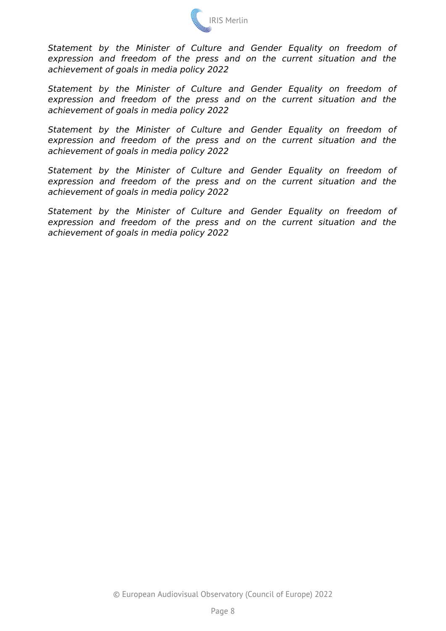

*Statement by the Minister of Culture and Gender Equality on freedom of expression and freedom of the press and on the current situation and the achievement of goals in media policy 2022*

*Statement by the Minister of Culture and Gender Equality on freedom of expression and freedom of the press and on the current situation and the achievement of goals in media policy 2022*

*Statement by the Minister of Culture and Gender Equality on freedom of expression and freedom of the press and on the current situation and the achievement of goals in media policy 2022*

*Statement by the Minister of Culture and Gender Equality on freedom of expression and freedom of the press and on the current situation and the achievement of goals in media policy 2022*

*Statement by the Minister of Culture and Gender Equality on freedom of expression and freedom of the press and on the current situation and the achievement of goals in media policy 2022*